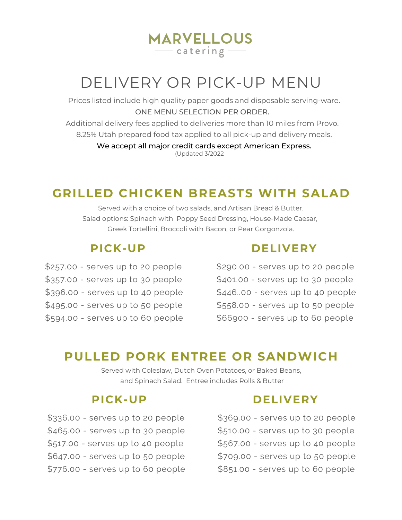# DELIVERY OR PICK-UP MENU

**MARVELLOUS**  $\overline{\phantom{iiiiiiiiiiiiiiiiiiiiiiiiiiiiiiiiiiiiiiiiii}}$ 

Prices listed include high quality paper goods and disposable serving-ware. ONE MENU SELECTION PER ORDER.

Additional delivery fees applied to deliveries more than 10 miles from Provo. 8.25% Utah prepared food tax applied to all pick-up and delivery meals.

> We accept all major credit cards except American Express. (Updated 3/2022

## **GRILLED CHICKEN BREASTS WITH SALAD**

Served with a choice of two salads, and Artisan Bread & Butter. Salad options: Spinach with Poppy Seed Dressing, House-Made Caesar, Greek Tortellini, Broccoli with Bacon, or Pear Gorgonzola.

\$257.00 - serves up to 20 people \$357.00 - serves up to 30 people \$396.00 - serves up to 40 people \$495.00 - serves up to 50 people \$594.00 - serves up to 60 people

#### **PICK-UP DELIVERY**

\$290.00 - serves up to 20 people \$401.00 - serves up to 30 people \$446..00 - serves up to 40 people \$558.00 - serves up to 50 people \$66900 - serves up to 60 people

### **PULLED PORK ENTREE OR SANDWICH**

Served with Coleslaw, Dutch Oven Potatoes, or Baked Beans, and Spinach Salad. Entree includes Rolls & Butter

\$336.00 - serves up to 20 people \$465.00 - serves up to 30 people \$517.00 - serves up to 40 people \$647.00 - serves up to 50 people \$776.00 - serves up to 60 people

### **PICK-UP DELIVERY**

\$369.00 - serves up to 20 people \$510.00 - serves up to 30 people \$567.00 - serves up to 40 people \$709.00 - serves up to 50 people \$851.00 - serves up to 60 people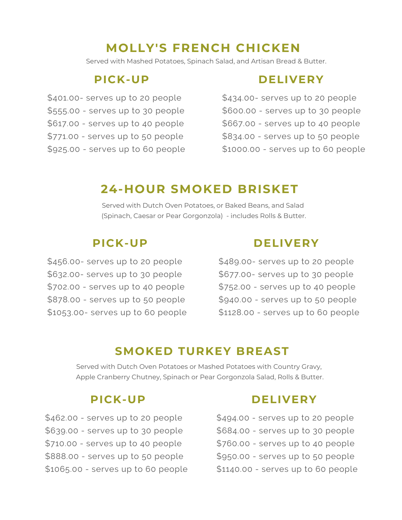## **MOLLY'S FRENCH CHICKEN**

Served with Mashed Potatoes, Spinach Salad, and Artisan Bread & Butter.

\$401.00- serves up to 20 people \$555.00 - serves up to 30 people \$617.00 - serves up to 40 people \$771.00 - serves up to 50 people \$925.00 - serves up to 60 people

### **PICK-UP DELIVERY**

\$434.00- serves up to 20 people \$600.00 - serves up to 30 people \$667.00 - serves up to 40 people \$834.00 - serves up to 50 people \$1000.00 - serves up to 60 people

## **24-HOUR SMOKED BRISKET**

Served with Dutch Oven Potatoes, or Baked Beans, and Salad (Spinach, Caesar or Pear Gorgonzola) - includes Rolls & Butter.

\$456.00- serves up to 20 people \$632.00- serves up to 30 people \$702.00 - serves up to 40 people \$878.00 - serves up to 50 people \$1053.00- serves up to 60 people

### **PICK-UP DELIVERY**

\$489.00- serves up to 20 people \$677.00- serves up to 30 people \$752.00 - serves up to 40 people \$940.00 - serves up to 50 people \$1128.00 - serves up to 60 people

### **SMOKED TURKEY BREAST**

Served with Dutch Oven Potatoes or Mashed Potatoes with Country Gravy, Apple Cranberry Chutney, Spinach or Pear Gorgonzola Salad, Rolls & Butter.

\$462.00 - serves up to 20 people \$639.00 - serves up to 30 people \$710.00 - serves up to 40 people \$888.00 - serves up to 50 people \$1065.00 - serves up to 60 people

#### **PICK-UP DELIVERY**

\$494.00 - serves up to 20 people \$684.00 - serves up to 30 people \$760.00 - serves up to 40 people \$950.00 - serves up to 50 people \$1140.00 - serves up to 60 people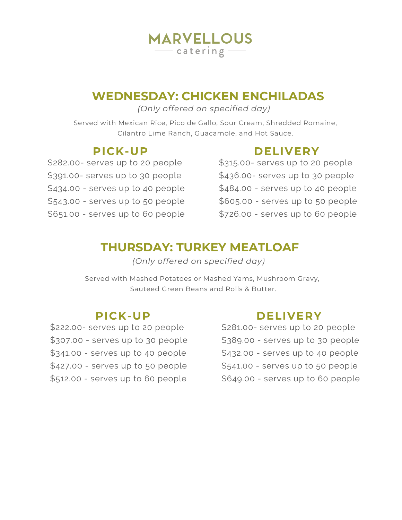## **MARVELLOUS**  $\overline{\phantom{iiiiiiiiiiiiiiiiiiiiiiiiiiiiiiiiiiiiiiiiiiii}}$

## **WEDNESDAY: CHICKEN ENCHILADAS**

*(Only offered on specified day)*

Served with Mexican Rice, Pico de Gallo, Sour Cream, Shredded Romaine, Cilantro Lime Ranch, Guacamole, and Hot Sauce.

\$282.00- serves up to 20 people \$391.00- serves up to 30 people \$434.00 - serves up to 40 people \$543.00 - serves up to 50 people \$651.00 - serves up to 60 people

### **PICK-UP DELIVERY**

\$315.00- serves up to 20 people \$436.00- serves up to 30 people \$484.00 - serves up to 40 people \$605.00 - serves up to 50 people \$726.00 - serves up to 60 people

## **THURSDAY: TURKEY MEATLOAF**

*(Only offered on specified day)*

Served with Mashed Potatoes or Mashed Yams, Mushroom Gravy, Sauteed Green Beans and Rolls & Butter.

\$222.00- serves up to 20 people \$307.00 - serves up to 30 people \$341.00 - serves up to 40 people \$427.00 - serves up to 50 people \$512.00 - serves up to 60 people

## **PICK-UP DELIVERY**

\$281.00- serves up to 20 people \$389.00 - serves up to 30 people \$432.00 - serves up to 40 people \$541.00 - serves up to 50 people \$649.00 - serves up to 60 people